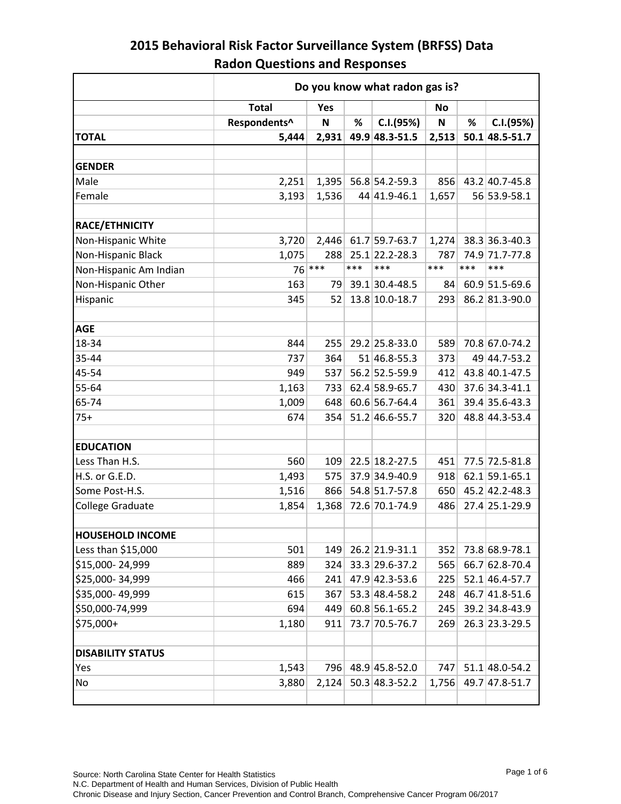|                          | Do you know what radon gas is?   |             |     |                      |              |      |                  |  |
|--------------------------|----------------------------------|-------------|-----|----------------------|--------------|------|------------------|--|
|                          | <b>Total</b><br><b>Yes</b><br>No |             |     |                      |              |      |                  |  |
|                          | Respondents^                     | $\mathsf N$ | %   | C.I.(95%)            | $\mathsf{N}$ | $\%$ | C.I.(95%)        |  |
| <b>TOTAL</b>             | 5,444                            | 2,931       |     | 49.9 48.3-51.5       | 2,513        |      | 50.1 48.5-51.7   |  |
|                          |                                  |             |     |                      |              |      |                  |  |
| <b>GENDER</b>            |                                  |             |     |                      |              |      |                  |  |
| Male                     | 2,251                            |             |     | 1,395 56.8 54.2-59.3 | 856          |      | 43.2 40.7-45.8   |  |
| Female                   | 3,193                            | 1,536       |     | 44 41.9-46.1         | 1,657        |      | 56 53.9-58.1     |  |
| RACE/ETHNICITY           |                                  |             |     |                      |              |      |                  |  |
| Non-Hispanic White       | 3,720                            |             |     | 2,446 61.7 59.7-63.7 | 1,274        |      | 38.3 36.3-40.3   |  |
| Non-Hispanic Black       | 1,075                            | 288         |     | 25.1 22.2-28.3       | 787          |      | 74.9 71.7-77.8   |  |
| Non-Hispanic Am Indian   |                                  | $76$ ***    | *** | ***                  | ***          | ***  | ***              |  |
| Non-Hispanic Other       | 163                              | 79          |     | 39.1 30.4-48.5       | 84           |      | 60.9 51.5-69.6   |  |
| Hispanic                 | 345                              | 52          |     | 13.8 10.0-18.7       | 293          |      | 86.2 81.3-90.0   |  |
|                          |                                  |             |     |                      |              |      |                  |  |
| <b>AGE</b>               |                                  |             |     |                      |              |      |                  |  |
| 18-34                    | 844                              | 255         |     | 29.2 25.8-33.0       | 589          |      | 70.8 67.0-74.2   |  |
| 35-44                    | 737                              | 364         |     | 51 46.8-55.3         | 373          |      | 49 44.7-53.2     |  |
| 45-54                    | 949                              | 537         |     | 56.2 52.5-59.9       | 412          |      | 43.8 40.1-47.5   |  |
| 55-64                    | 1,163                            | 733         |     | 62.4 58.9-65.7       | 430          |      | 37.6 34.3-41.1   |  |
| 65-74                    | 1,009                            | 648         |     | 60.6 56.7-64.4       | 361          |      | 39.4 35.6-43.3   |  |
| $75+$                    | 674                              | 354         |     | 51.2 46.6-55.7       | 320          |      | 48.8 44.3-53.4   |  |
|                          |                                  |             |     |                      |              |      |                  |  |
| <b>EDUCATION</b>         |                                  |             |     |                      |              |      |                  |  |
| Less Than H.S.           | 560                              | 109         |     | 22.5 18.2-27.5       | 451          |      | 77.5 72.5-81.8   |  |
| H.S. or G.E.D.           | 1,493                            | 575         |     | 37.9 34.9-40.9       | 918          |      | $62.1$ 59.1-65.1 |  |
| Some Post-H.S.           | 1,516                            | 866         |     | 54.8 51.7-57.8       | 650          |      | 45.2 42.2-48.3   |  |
| <b>College Graduate</b>  | 1,854                            | 1,368       |     | 72.6 70.1-74.9       | 486          |      | 27.4 25.1-29.9   |  |
|                          |                                  |             |     |                      |              |      |                  |  |
| <b>HOUSEHOLD INCOME</b>  |                                  |             |     |                      |              |      |                  |  |
| Less than \$15,000       | 501                              | 149         |     | 26.2 21.9-31.1       | 352          |      | 73.8 68.9-78.1   |  |
| \$15,000-24,999          | 889                              | 324         |     | 33.3 29.6-37.2       | 565          |      | 66.7 62.8-70.4   |  |
| \$25,000-34,999          | 466                              | 241         |     | 47.9 42.3-53.6       | 225          |      | 52.1 46.4-57.7   |  |
| \$35,000-49,999          | 615                              | 367         |     | 53.3 48.4-58.2       | 248          |      | 46.7 41.8-51.6   |  |
| \$50,000-74,999          | 694                              | 449         |     | 60.8 56.1-65.2       | 245          |      | 39.2 34.8-43.9   |  |
| \$75,000+                | 1,180                            | 911         |     | 73.7 70.5-76.7       | 269          |      | 26.3 23.3-29.5   |  |
| <b>DISABILITY STATUS</b> |                                  |             |     |                      |              |      |                  |  |
| Yes                      | 1,543                            | 796         |     | 48.9 45.8-52.0       | 747          |      | 51.1 48.0-54.2   |  |
| No                       | 3,880                            | 2,124       |     | 50.3 48.3-52.2       | 1,756        |      | 49.7 47.8-51.7   |  |
|                          |                                  |             |     |                      |              |      |                  |  |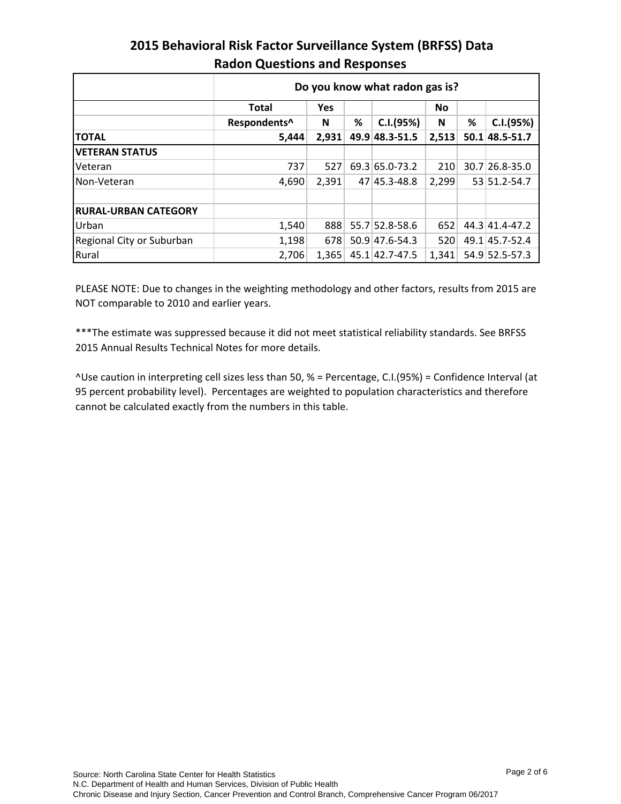|                             | Do you know what radon gas is? |            |   |                |           |   |                |  |  |
|-----------------------------|--------------------------------|------------|---|----------------|-----------|---|----------------|--|--|
|                             | <b>Total</b>                   | <b>Yes</b> |   |                | <b>No</b> |   |                |  |  |
|                             | Respondents^                   | N          | % | C.I.(95%)      | N         | % | C.I.(95%)      |  |  |
| <b>TOTAL</b>                | 5,444                          | 2,931      |   | 49.9 48.3-51.5 | 2,513     |   | 50.1 48.5-51.7 |  |  |
| <b>IVETERAN STATUS</b>      |                                |            |   |                |           |   |                |  |  |
| <b>Veteran</b>              | 737                            | 527        |   | 69.3 65.0-73.2 | 210       |   | 30.7 26.8-35.0 |  |  |
| Non-Veteran                 | 4,690                          | 2,391      |   | 47 45.3-48.8   | 2,299     |   | 53 51.2-54.7   |  |  |
|                             |                                |            |   |                |           |   |                |  |  |
| <b>RURAL-URBAN CATEGORY</b> |                                |            |   |                |           |   |                |  |  |
| Urban                       | 1,540                          | 888        |   | 55.7 52.8-58.6 | 652       |   | 44.3 41.4-47.2 |  |  |
| Regional City or Suburban   | 1,198                          | 678        |   | 50.9 47.6-54.3 | 520       |   | 49.1 45.7-52.4 |  |  |
| Rural                       | 2,706                          | 1,365      |   | 45.1 42.7-47.5 | 1,341     |   | 54.9 52.5-57.3 |  |  |

PLEASE NOTE: Due to changes in the weighting methodology and other factors, results from 2015 are NOT comparable to 2010 and earlier years.

\*\*\*The estimate was suppressed because it did not meet statistical reliability standards. See BRFSS 2015 Annual Results Technical Notes for more details.

^Use caution in interpreting cell sizes less than 50, % = Percentage, C.I.(95%) = Confidence Interval (at 95 percent probability level). Percentages are weighted to population characteristics and therefore cannot be calculated exactly from the numbers in this table.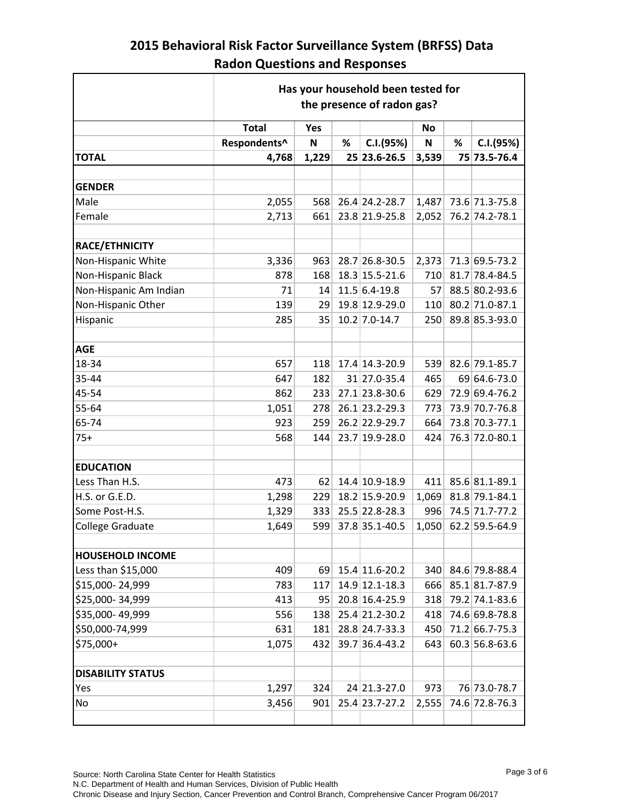|                          | Has your household been tested for<br>the presence of radon gas? |             |   |                 |             |   |                |  |
|--------------------------|------------------------------------------------------------------|-------------|---|-----------------|-------------|---|----------------|--|
|                          | <b>Total</b>                                                     | Yes         |   |                 | No          |   |                |  |
|                          | Respondents^                                                     | $\mathbf N$ | % | C.I.(95%)       | $\mathsf N$ | % | C.I.(95%)      |  |
| <b>TOTAL</b>             | 4,768                                                            | 1,229       |   | 25 23.6-26.5    | 3,539       |   | 75 73.5-76.4   |  |
|                          |                                                                  |             |   |                 |             |   |                |  |
| <b>GENDER</b>            |                                                                  |             |   |                 |             |   |                |  |
| Male                     | 2,055                                                            | 568         |   | 26.4 24.2-28.7  | 1,487       |   | 73.6 71.3-75.8 |  |
| Female                   | 2,713                                                            | 661         |   | 23.8 21.9-25.8  | 2,052       |   | 76.2 74.2-78.1 |  |
|                          |                                                                  |             |   |                 |             |   |                |  |
| RACE/ETHNICITY           |                                                                  |             |   |                 |             |   |                |  |
| Non-Hispanic White       | 3,336                                                            | 963         |   | 28.7 26.8-30.5  | 2,373       |   | 71.3 69.5-73.2 |  |
| Non-Hispanic Black       | 878                                                              | 168         |   | 18.3 15.5-21.6  | 710         |   | 81.7 78.4-84.5 |  |
| Non-Hispanic Am Indian   | 71                                                               | 14          |   | $11.5 6.4-19.8$ | 57          |   | 88.5 80.2-93.6 |  |
| Non-Hispanic Other       | 139                                                              | 29          |   | 19.8 12.9-29.0  | 110         |   | 80.2 71.0-87.1 |  |
| Hispanic                 | 285                                                              | 35          |   | 10.2 7.0-14.7   | 250         |   | 89.8 85.3-93.0 |  |
|                          |                                                                  |             |   |                 |             |   |                |  |
| <b>AGE</b>               |                                                                  |             |   |                 |             |   |                |  |
| 18-34                    | 657                                                              | 118         |   | 17.4 14.3-20.9  | 539         |   | 82.6 79.1-85.7 |  |
| 35-44                    | 647                                                              | 182         |   | 31 27.0-35.4    | 465         |   | 69 64.6-73.0   |  |
| 45-54                    | 862                                                              | 233         |   | 27.1 23.8-30.6  | 629         |   | 72.9 69.4-76.2 |  |
| 55-64                    | 1,051                                                            | 278         |   | 26.1 23.2-29.3  | 773         |   | 73.9 70.7-76.8 |  |
| 65-74                    | 923                                                              | 259         |   | 26.2 22.9-29.7  | 664         |   | 73.8 70.3-77.1 |  |
| $75+$                    | 568                                                              | 144         |   | 23.7 19.9-28.0  | 424         |   | 76.3 72.0-80.1 |  |
|                          |                                                                  |             |   |                 |             |   |                |  |
| <b>EDUCATION</b>         |                                                                  |             |   |                 |             |   |                |  |
| Less Than H.S.           | 473                                                              | 62          |   | 14.4 10.9-18.9  | 411         |   | 85.6 81.1-89.1 |  |
| H.S. or G.E.D.           | 1,298                                                            | 229         |   | 18.2 15.9-20.9  | 1,069       |   | 81.8 79.1-84.1 |  |
| Some Post-H.S.           | 1,329                                                            | 333         |   | 25.5 22.8-28.3  | 996         |   | 74.5 71.7-77.2 |  |
| <b>College Graduate</b>  | 1,649                                                            | 599         |   | 37.8 35.1-40.5  | 1,050       |   | 62.2 59.5-64.9 |  |
|                          |                                                                  |             |   |                 |             |   |                |  |
| <b>HOUSEHOLD INCOME</b>  |                                                                  |             |   |                 |             |   |                |  |
| Less than \$15,000       | 409                                                              | 69          |   | 15.4 11.6-20.2  | 340         |   | 84.6 79.8-88.4 |  |
| \$15,000-24,999          | 783                                                              | 117         |   | 14.9 12.1-18.3  | 666         |   | 85.1 81.7-87.9 |  |
| \$25,000-34,999          | 413                                                              | 95          |   | 20.8 16.4-25.9  | 318         |   | 79.2 74.1-83.6 |  |
| \$35,000-49,999          | 556                                                              | 138         |   | 25.4 21.2-30.2  | 418         |   | 74.6 69.8-78.8 |  |
| \$50,000-74,999          | 631                                                              | 181         |   | 28.8 24.7-33.3  | 450         |   | 71.2 66.7-75.3 |  |
| \$75,000+                | 1,075                                                            | 432         |   | 39.7 36.4-43.2  | 643         |   | 60.3 56.8-63.6 |  |
|                          |                                                                  |             |   |                 |             |   |                |  |
| <b>DISABILITY STATUS</b> |                                                                  |             |   |                 |             |   |                |  |
| Yes                      | 1,297                                                            | 324         |   | 24 21.3-27.0    | 973         |   | 76 73.0-78.7   |  |
| No                       | 3,456                                                            | 901         |   | 25.4 23.7-27.2  | 2,555       |   | 74.6 72.8-76.3 |  |
|                          |                                                                  |             |   |                 |             |   |                |  |

 $\overline{\phantom{0}}$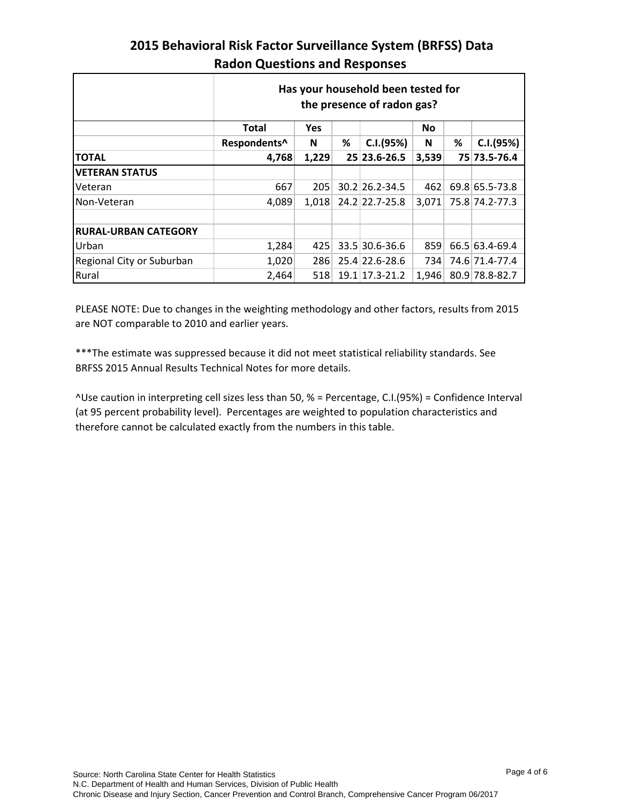|                             | <b>Radon Questions and Responses</b> |       |   |                                                                  |       |   |                |  |  |
|-----------------------------|--------------------------------------|-------|---|------------------------------------------------------------------|-------|---|----------------|--|--|
|                             |                                      |       |   | Has your household been tested for<br>the presence of radon gas? |       |   |                |  |  |
|                             | Total<br>Yes<br><b>No</b>            |       |   |                                                                  |       |   |                |  |  |
|                             | Respondents^                         | N     | % | C.I.(95%)                                                        | N     | % | C.I.(95%)      |  |  |
| ΤΟΤΑL                       | 4,768                                | 1,229 |   | 25 23.6-26.5                                                     | 3,539 |   | 75 73.5-76.4   |  |  |
| <b>VETERAN STATUS</b>       |                                      |       |   |                                                                  |       |   |                |  |  |
| Veteran                     | 667                                  | 205   |   | 30.2 26.2-34.5                                                   | 462   |   | 69.8 65.5-73.8 |  |  |
| Non-Veteran                 | 4,089                                | 1,018 |   | 24.2 22.7-25.8                                                   | 3,071 |   | 75.8 74.2-77.3 |  |  |
|                             |                                      |       |   |                                                                  |       |   |                |  |  |
| <b>RURAL-URBAN CATEGORY</b> |                                      |       |   |                                                                  |       |   |                |  |  |
| Urban                       | 1,284                                | 425   |   | 33.5 30.6-36.6                                                   | 859   |   | 66.5 63.4-69.4 |  |  |
| Regional City or Suburban   | 1,020                                | 286   |   | 25.4 22.6-28.6                                                   | 7341  |   | 74.6 71.4-77.4 |  |  |

# **2015 Behavioral Risk Factor Surveillance System (BRFSS) Data**

PLEASE NOTE: Due to changes in the weighting methodology and other factors, results from 2015 are NOT comparable to 2010 and earlier years.

Rural 2,464 518 19.1 17.3-21.2 1,946 80.9 78.8-82.7

\*\*\*The estimate was suppressed because it did not meet statistical reliability standards. See BRFSS 2015 Annual Results Technical Notes for more details.

^Use caution in interpreting cell sizes less than 50, % = Percentage, C.I.(95%) = Confidence Interval (at 95 percent probability level). Percentages are weighted to population characteristics and therefore cannot be calculated exactly from the numbers in this table.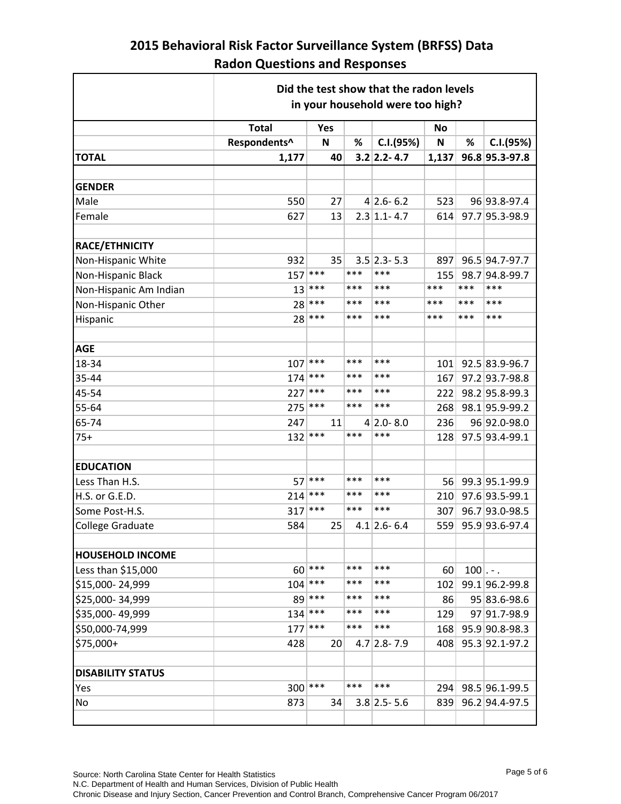|                          | Did the test show that the radon levels<br>in your household were too high? |     |     |                   |           |       |                |  |
|--------------------------|-----------------------------------------------------------------------------|-----|-----|-------------------|-----------|-------|----------------|--|
|                          | <b>Total</b>                                                                | Yes |     |                   | <b>No</b> |       |                |  |
|                          | Respondents^                                                                | N   | %   | C.I.(95%)         | N         | %     | C.I.(95%)      |  |
| <b>TOTAL</b>             | 1,177                                                                       | 40  |     | $3.2$ 2.2-4.7     | 1,137     |       | 96.8 95.3-97.8 |  |
|                          |                                                                             |     |     |                   |           |       |                |  |
| <b>GENDER</b>            |                                                                             |     |     |                   |           |       |                |  |
| Male                     | 550                                                                         | 27  |     | $4 2.6-6.2$       | 523       |       | 96 93.8-97.4   |  |
| Female                   | 627                                                                         | 13  |     | $2.3$ 1.1-4.7     | 614       |       | 97.7 95.3-98.9 |  |
|                          |                                                                             |     |     |                   |           |       |                |  |
| RACE/ETHNICITY           |                                                                             |     |     |                   |           |       |                |  |
| Non-Hispanic White       | 932                                                                         | 35  |     | $3.5$ 2.3-5.3     | 897       |       | 96.5 94.7-97.7 |  |
| Non-Hispanic Black       | 157                                                                         | *** | *** | ***               | 155       |       | 98.7 94.8-99.7 |  |
| Non-Hispanic Am Indian   | 13                                                                          | *** | *** | ***               | ***       | ***   | ***            |  |
| Non-Hispanic Other       | 28                                                                          | *** | *** | ***               | ***       | ***   | ***            |  |
| Hispanic                 | 28                                                                          | *** | *** | ***               | ***       | ***   | ***            |  |
|                          |                                                                             |     |     |                   |           |       |                |  |
| <b>AGE</b>               |                                                                             |     |     |                   |           |       |                |  |
| 18-34                    | 107                                                                         | *** | *** | ***               | 101       |       | 92.5 83.9-96.7 |  |
| 35-44                    | 174                                                                         | *** | *** | ***               | 167       |       | 97.2 93.7-98.8 |  |
| 45-54                    | 227                                                                         | *** | *** | ***               | 222       |       | 98.2 95.8-99.3 |  |
| 55-64                    | 275                                                                         | *** | *** | ***               | 268       |       | 98.1 95.9-99.2 |  |
| 65-74                    | 247                                                                         | 11  |     | $4 2.0-8.0$       | 236       |       | 96 92.0-98.0   |  |
| $75+$                    | 132                                                                         | *** | *** | ***               | 128       |       | 97.5 93.4-99.1 |  |
|                          |                                                                             |     |     |                   |           |       |                |  |
| <b>EDUCATION</b>         |                                                                             |     |     |                   |           |       |                |  |
| Less Than H.S.           | 57                                                                          | *** | *** | ***               | 56        |       | 99.3 95.1-99.9 |  |
| H.S. or G.E.D.           | 214                                                                         | *** | *** | ***               | 210       |       | 97.6 93.5-99.1 |  |
| Some Post-H.S.           | 317                                                                         | *** | *** | ***               | 307       |       | 96.7 93.0-98.5 |  |
| <b>College Graduate</b>  | 584                                                                         | 25  |     | $4.1$   2.6 - 6.4 | 559       |       | 95.9 93.6-97.4 |  |
|                          |                                                                             |     |     |                   |           |       |                |  |
| <b>HOUSEHOLD INCOME</b>  |                                                                             |     |     |                   |           |       |                |  |
| Less than \$15,000       | 60                                                                          | *** | *** | ***               | 60        | $100$ |                |  |
| \$15,000-24,999          | 104                                                                         | *** | *** | ***               | 102       |       | 99.1 96.2-99.8 |  |
| \$25,000-34,999          | 89                                                                          | *** | *** | ***               | 86        |       | 95 83.6-98.6   |  |
| \$35,000-49,999          | 134                                                                         | *** | *** | ***               | 129       |       | 97 91.7-98.9   |  |
| \$50,000-74,999          | 177                                                                         | *** | *** | ***               | 168       |       | 95.9 90.8-98.3 |  |
| \$75,000+                | 428                                                                         | 20  |     | $4.7$ 2.8 - 7.9   | 408       |       | 95.3 92.1-97.2 |  |
|                          |                                                                             |     |     |                   |           |       |                |  |
| <b>DISABILITY STATUS</b> |                                                                             |     |     |                   |           |       |                |  |
| Yes                      | 300                                                                         | *** | *** | ***               | 294       |       | 98.5 96.1-99.5 |  |
| No                       | 873                                                                         | 34  |     | $3.8$ 2.5 - 5.6   | 839       |       | 96.2 94.4-97.5 |  |
|                          |                                                                             |     |     |                   |           |       |                |  |

٦